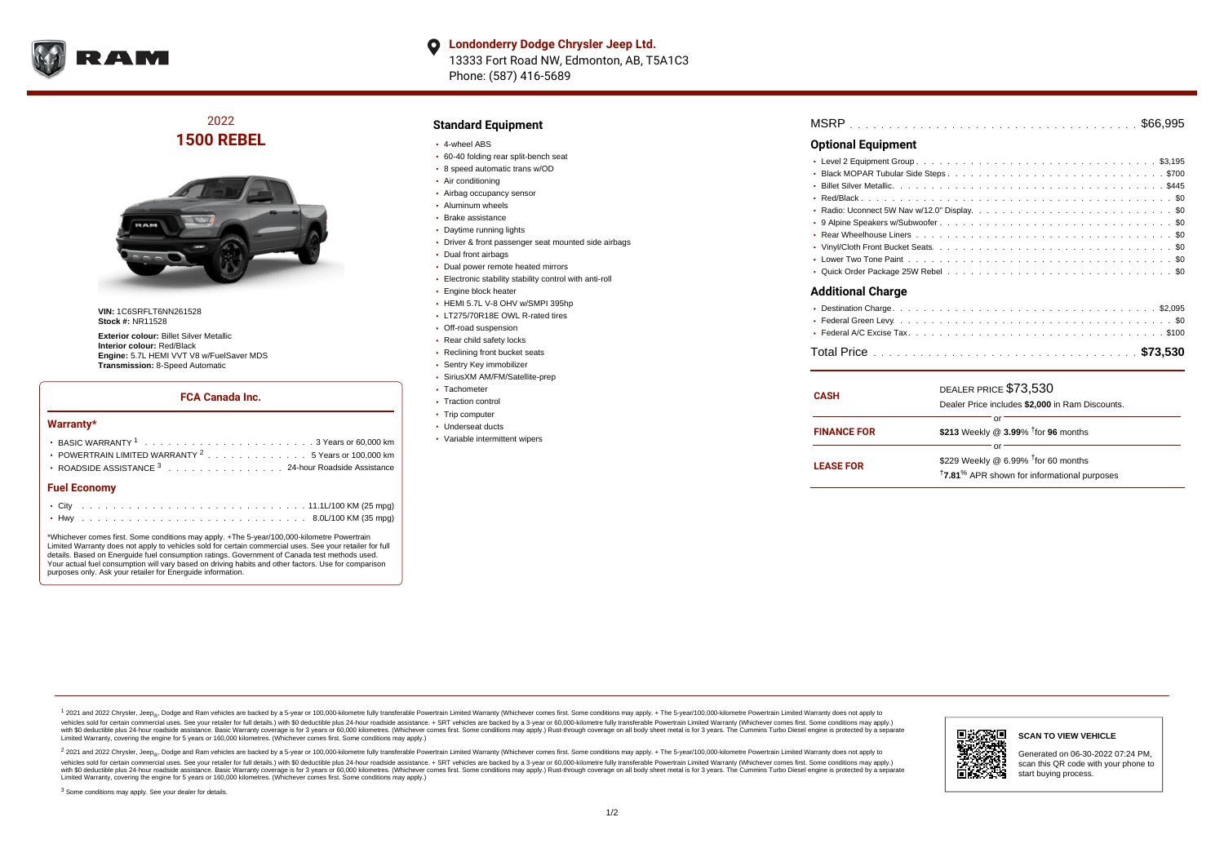

**Londonderry Dodge Chrysler Jeep Ltd.**  $\bullet$ 13333 Fort Road NW, Edmonton, AB, T5A1C3 Phone: (587) 416-5689

### 2022 **1500 REBEL**



**VIN:** 1C6SRFLT6NN261528 **Stock #:** NR11528

**Exterior colour:** Billet Silver Metallic **Interior colour:** Red/Black **Engine:** 5.7L HEMI VVT V8 w/FuelSaver MDS **Transmission:** 8-Speed Automatic

#### **FCA Canada Inc.**

#### **Warranty\***

| <b>Fuel Economy</b>                                                                      |  |  |  |  |  |
|------------------------------------------------------------------------------------------|--|--|--|--|--|
| ROADSIDE ASSISTANCE 3 24-hour Roadside Assistance                                        |  |  |  |  |  |
| • POWERTRAIN LIMITED WARRANTY $2, \ldots, \ldots, \ldots, \ldots, 5$ Years or 100,000 km |  |  |  |  |  |
|                                                                                          |  |  |  |  |  |
|                                                                                          |  |  |  |  |  |

\*Whichever comes first. Some conditions may apply. +The 5-year/100,000-kilometre Powertrain Limited Warranty does not apply to vehicles sold for certain commercial uses. See your retailer for full details. Based on Energuide fuel consumption ratings. Government of Canada test methods used. Your actual fuel consumption will vary based on driving habits and other factors. Use for comparison purposes only. Ask your retailer for Energuide information.

#### **Standard Equipment**

- 4-wheel ABS
- 60-40 folding rear split-bench seat
- 8 speed automatic trans w/OD
- Air conditioning
- Airbag occupancy sensor
- Aluminum wheels
- Brake assistance
- Daytime running lights
- Driver & front passenger seat mounted side airbags
- Dual front airbags
- Dual power remote heated mirrors
- Electronic stability stability control with anti-roll
- **Engine block heater**
- HEMI 5.7L V-8 OHV w/SMPI 395hp
- LT275/70R18E OWL R-rated tires
- Off-road suspension
- Rear child safety locks
- Reclining front bucket seats
- Sentry Key immobilizer
- SiriusXM AM/FM/Satellite-prep
- Tachometer
- Traction control
- Trip computer
- Underseat ducts
- Variable intermittent wipers

| MSRP |  |  |  |  |  |  |  |  |  |  |  |  |  |  |  |  |  |  |  |  |  |  |  |  |  |  |  |  |  |  |  |  |  |  |  |  |  |  |  |  |  |  |  |  |  |  |  |
|------|--|--|--|--|--|--|--|--|--|--|--|--|--|--|--|--|--|--|--|--|--|--|--|--|--|--|--|--|--|--|--|--|--|--|--|--|--|--|--|--|--|--|--|--|--|--|--|
|------|--|--|--|--|--|--|--|--|--|--|--|--|--|--|--|--|--|--|--|--|--|--|--|--|--|--|--|--|--|--|--|--|--|--|--|--|--|--|--|--|--|--|--|--|--|--|--|

### **Optional Equipment**

| <b>Additional Charge</b> |                             |
|--------------------------|-----------------------------|
|                          | $\sim$ $\sim$ $\sim$ $\sim$ |

| <b>CASH</b>        | DEALER PRICE \$73,530<br>Dealer Price includes \$2,000 in Ram Discounts.                                              |
|--------------------|-----------------------------------------------------------------------------------------------------------------------|
| <b>FINANCE FOR</b> | \$213 Weekly @ $3.99\%$ <sup>†</sup> for 96 months                                                                    |
| <b>LEASE FOR</b>   | or<br>\$229 Weekly $@$ 6.99% $†$ for 60 months<br><sup>†</sup> 7.81 <sup>%</sup> APR shown for informational purposes |

1 2021 and 2022 Chrysler, Jeep<sub>er</sub>, Dodge and Ram vehicles are backed by a 5-year or 100,000-kilometre fully transferable Powertrain Limited Warranty (Whichever comes first. Some conditions may apply. + The 5-year/100,000vehicles sold for certain commercial uses. See your retailer for full details.) with \$0 deductible plus 24-hour roadside assistance. + SRT vehicles are backed by a 3-year or 60,000-kilometre fully transferable Powertrain L versus and contract the mean of the contract of the contract with a contract with a contract the contract of the search of the contract and a control of the contract and contract and control of the search of the search of Limited Warranty, covering the engine for 5 years or 160,000 kilometres. (Whichever comes first. Some conditions may apply.)

2 2021 and 2022 Chrysler, Jeep<sub>e»</sub> Dodge and Ram vehicles are backed by a 5-year or 100,000-kilometre fully transferable Powertrain Limited Warranty (Whichever comes first. Some conditions may apply. + The 5-year/100,000-k vehicles sold for certain commercial uses. See your retailer for full details.) with SO deductible plus 24-hour roadside assistance. + SRT vehicles are backed by a 3-year or 60.000-kilometre fully transferable Powertrain. with S0 deductible plus 24-hour roadside assistance. Basic Warranty coverage is for 3 years or 60,000 kilometres. (Whichever comes first. Some conditions may apply.) Rust-through coverage on all body sheet metal is for 3 y

<sup>3</sup> Some conditions may apply. See your dealer for details.



Generated on 06-30-2022 07:24 PM, scan this QR code with your phone to start buying process.